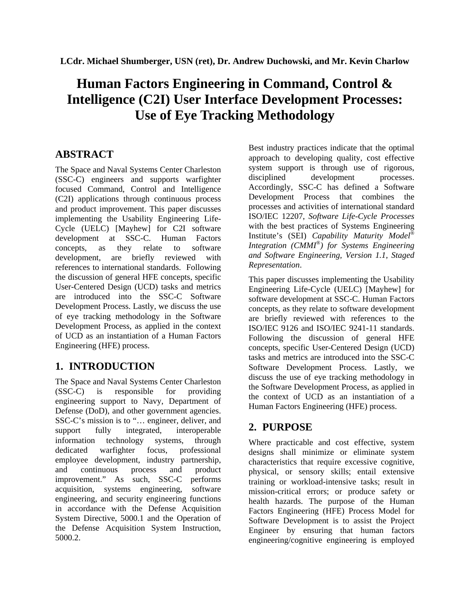# **Human Factors Engineering in Command, Control & Intelligence (C2I) User Interface Development Processes: Use of Eye Tracking Methodology**

# **ABSTRACT**

The Space and Naval Systems Center Charleston (SSC-C) engineers and supports warfighter focused Command, Control and Intelligence (C2I) applications through continuous process and product improvement. This paper discusses implementing the Usability Engineering Life-Cycle (UELC) [Mayhew] for C2I software development at SSC-C. Human Factors concepts, as they relate to software development, are briefly reviewed with references to international standards. Following the discussion of general HFE concepts, specific User-Centered Design (UCD) tasks and metrics are introduced into the SSC-C Software Development Process. Lastly, we discuss the use of eye tracking methodology in the Software Development Process, as applied in the context of UCD as an instantiation of a Human Factors Engineering (HFE) process.

# **1. INTRODUCTION**

The Space and Naval Systems Center Charleston (SSC-C) is responsible for providing engineering support to Navy, Department of Defense (DoD), and other government agencies. SSC-C's mission is to "… engineer, deliver, and support fully integrated, interoperable information technology systems, through dedicated warfighter focus, professional employee development, industry partnership, and continuous process and product improvement." As such, SSC-C performs acquisition, systems engineering, software engineering, and security engineering functions in accordance with the Defense Acquisition System Directive, 5000.1 and the Operation of the Defense Acquisition System Instruction, 5000.2.

Best industry practices indicate that the optimal approach to developing quality, cost effective system support is through use of rigorous, disciplined development processes. Accordingly, SSC-C has defined a Software Development Process that combines the processes and activities of international standard ISO/IEC 12207, *Software Life-Cycle Processes* with the best practices of Systems Engineering Institute's (SEI) *Capability Maturity Model® Integration (CMMI®) for Systems Engineering and Software Engineering, Version 1.1, Staged Representation*.

This paper discusses implementing the Usability Engineering Life-Cycle (UELC) [Mayhew] for software development at SSC-C. Human Factors concepts, as they relate to software development are briefly reviewed with references to the ISO/IEC 9126 and ISO/IEC 9241-11 standards. Following the discussion of general HFE concepts, specific User-Centered Design (UCD) tasks and metrics are introduced into the SSC-C Software Development Process. Lastly, we discuss the use of eye tracking methodology in the Software Development Process, as applied in the context of UCD as an instantiation of a Human Factors Engineering (HFE) process.

# **2. PURPOSE**

Where practicable and cost effective, system designs shall minimize or eliminate system characteristics that require excessive cognitive, physical, or sensory skills; entail extensive training or workload-intensive tasks; result in mission-critical errors; or produce safety or health hazards. The purpose of the Human Factors Engineering (HFE) Process Model for Software Development is to assist the Project Engineer by ensuring that human factors engineering/cognitive engineering is employed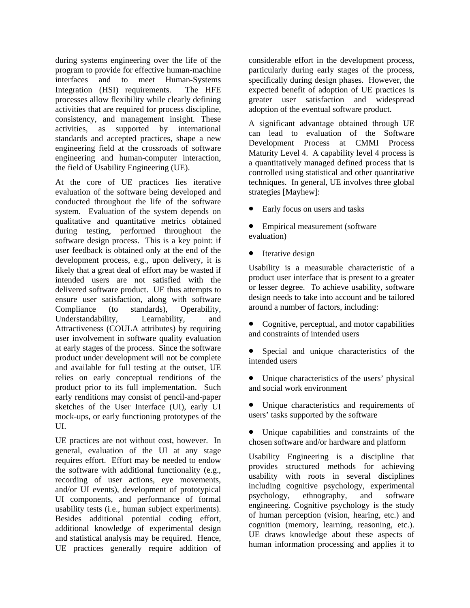during systems engineering over the life of the program to provide for effective human-machine interfaces and to meet Human-Systems Integration (HSI) requirements. The HFE processes allow flexibility while clearly defining activities that are required for process discipline, consistency, and management insight. These activities, as supported by international standards and accepted practices, shape a new engineering field at the crossroads of software engineering and human-computer interaction, the field of Usability Engineering (UE).

At the core of UE practices lies iterative evaluation of the software being developed and conducted throughout the life of the software system. Evaluation of the system depends on qualitative and quantitative metrics obtained during testing, performed throughout the software design process. This is a key point: if user feedback is obtained only at the end of the development process, e.g., upon delivery, it is likely that a great deal of effort may be wasted if intended users are not satisfied with the delivered software product. UE thus attempts to ensure user satisfaction, along with software Compliance (to standards), Operability, Understandability, Learnability, and Attractiveness (COULA attributes) by requiring user involvement in software quality evaluation at early stages of the process. Since the software product under development will not be complete and available for full testing at the outset, UE relies on early conceptual renditions of the product prior to its full implementation. Such early renditions may consist of pencil-and-paper sketches of the User Interface (UI), early UI mock-ups, or early functioning prototypes of the UI.

UE practices are not without cost, however. In general, evaluation of the UI at any stage requires effort. Effort may be needed to endow the software with additional functionality (e.g., recording of user actions, eye movements, and/or UI events), development of prototypical UI components, and performance of formal usability tests (i.e., human subject experiments). Besides additional potential coding effort, additional knowledge of experimental design and statistical analysis may be required. Hence, UE practices generally require addition of

considerable effort in the development process, particularly during early stages of the process, specifically during design phases. However, the expected benefit of adoption of UE practices is greater user satisfaction and widespread adoption of the eventual software product.

A significant advantage obtained through UE can lead to evaluation of the Software Development Process at CMMI Process Maturity Level 4. A capability level 4 process is a quantitatively managed defined process that is controlled using statistical and other quantitative techniques. In general, UE involves three global strategies [Mayhew]:

- Early focus on users and tasks
- Empirical measurement (software evaluation)
- Iterative design

Usability is a measurable characteristic of a product user interface that is present to a greater or lesser degree. To achieve usability, software design needs to take into account and be tailored around a number of factors, including:

- Cognitive, perceptual, and motor capabilities and constraints of intended users
- Special and unique characteristics of the intended users
- Unique characteristics of the users' physical and social work environment
- Unique characteristics and requirements of users' tasks supported by the software
- Unique capabilities and constraints of the chosen software and/or hardware and platform

Usability Engineering is a discipline that provides structured methods for achieving usability with roots in several disciplines including cognitive psychology, experimental psychology, ethnography, and software engineering. Cognitive psychology is the study of human perception (vision, hearing, etc.) and cognition (memory, learning, reasoning, etc.). UE draws knowledge about these aspects of human information processing and applies it to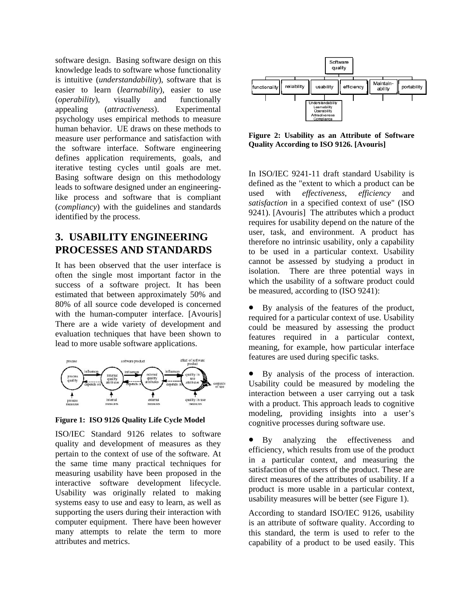software design. Basing software design on this knowledge leads to software whose functionality is intuitive (*understandability*), software that is easier to learn (*learnability*), easier to use (*operability*), visually and functionally appealing (*attractiveness*). Experimental psychology uses empirical methods to measure human behavior. UE draws on these methods to measure user performance and satisfaction with the software interface. Software engineering defines application requirements, goals, and iterative testing cycles until goals are met. Basing software design on this methodology leads to software designed under an engineeringlike process and software that is compliant (*compliancy*) with the guidelines and standards identified by the process.

# **3. USABILITY ENGINEERING PROCESSES AND STANDARDS**

It has been observed that the user interface is often the single most important factor in the success of a software project. It has been estimated that between approximately 50% and 80% of all source code developed is concerned with the human-computer interface. [Avouris] There are a wide variety of development and evaluation techniques that have been shown to lead to more usable software applications.



**Figure 1: ISO 9126 Quality Life Cycle Model** 

ISO/IEC Standard 9126 relates to software quality and development of measures as they pertain to the context of use of the software. At the same time many practical techniques for measuring usability have been proposed in the interactive software development lifecycle. Usability was originally related to making systems easy to use and easy to learn, as well as supporting the users during their interaction with computer equipment. There have been however many attempts to relate the term to more attributes and metrics.



**Figure 2: Usability as an Attribute of Software Quality According to ISO 9126. [Avouris]** 

In ISO/IEC 9241-11 draft standard Usability is defined as the "extent to which a product can be used with *effectiveness*, *efficiency* and *satisfaction* in a specified context of use" (ISO 9241). [Avouris] The attributes which a product requires for usability depend on the nature of the user, task, and environment. A product has therefore no intrinsic usability, only a capability to be used in a particular context. Usability cannot be assessed by studying a product in isolation. There are three potential ways in which the usability of a software product could be measured, according to (ISO 9241):

- By analysis of the features of the product, required for a particular context of use. Usability could be measured by assessing the product features required in a particular context, meaning, for example, how particular interface features are used during specific tasks.
- By analysis of the process of interaction. Usability could be measured by modeling the interaction between a user carrying out a task with a product. This approach leads to cognitive modeling, providing insights into a user's cognitive processes during software use.

• By analyzing the effectiveness and efficiency, which results from use of the product in a particular context, and measuring the satisfaction of the users of the product. These are direct measures of the attributes of usability. If a product is more usable in a particular context, usability measures will be better (see Figure 1).

According to standard ISO/IEC 9126, usability is an attribute of software quality. According to this standard, the term is used to refer to the capability of a product to be used easily. This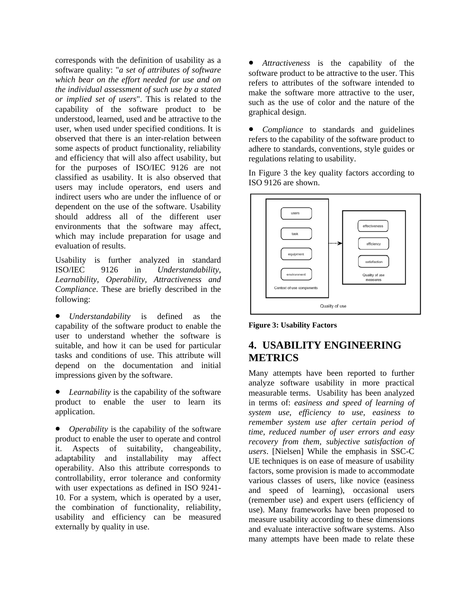corresponds with the definition of usability as a software quality: "*a set of attributes of software which bear on the effort needed for use and on the individual assessment of such use by a stated or implied set of users*". This is related to the capability of the software product to be understood, learned, used and be attractive to the user, when used under specified conditions. It is observed that there is an inter-relation between some aspects of product functionality, reliability and efficiency that will also affect usability, but for the purposes of ISO/IEC 9126 are not classified as usability. It is also observed that users may include operators, end users and indirect users who are under the influence of or dependent on the use of the software. Usability should address all of the different user environments that the software may affect, which may include preparation for usage and evaluation of results.

Usability is further analyzed in standard ISO/IEC 9126 in *Understandability, Learnability, Operability, Attractiveness and Compliance*. These are briefly described in the following:

• *Understandability* is defined as the capability of the software product to enable the user to understand whether the software is suitable, and how it can be used for particular tasks and conditions of use. This attribute will depend on the documentation and initial impressions given by the software.

Learnability is the capability of the software product to enable the user to learn its application.

• *Operability* is the capability of the software product to enable the user to operate and control it. Aspects of suitability, changeability, adaptability and installability may affect operability. Also this attribute corresponds to controllability, error tolerance and conformity with user expectations as defined in ISO 9241- 10. For a system, which is operated by a user, the combination of functionality, reliability, usability and efficiency can be measured externally by quality in use.

• *Attractiveness* is the capability of the software product to be attractive to the user. This refers to attributes of the software intended to make the software more attractive to the user, such as the use of color and the nature of the graphical design.

• *Compliance* to standards and guidelines refers to the capability of the software product to adhere to standards, conventions, style guides or regulations relating to usability.

In Figure 3 the key quality factors according to ISO 9126 are shown.



**Figure 3: Usability Factors** 

# **4. USABILITY ENGINEERING METRICS**

Many attempts have been reported to further analyze software usability in more practical measurable terms. Usability has been analyzed in terms of: *easiness and speed of learning of system use, efficiency to use, easiness to remember system use after certain period of time, reduced number of user errors and easy recovery from them, subjective satisfaction of users*. [Nielsen] While the emphasis in SSC-C UE techniques is on ease of measure of usability factors, some provision is made to accommodate various classes of users, like novice (easiness and speed of learning), occasional users (remember use) and expert users (efficiency of use). Many frameworks have been proposed to measure usability according to these dimensions and evaluate interactive software systems. Also many attempts have been made to relate these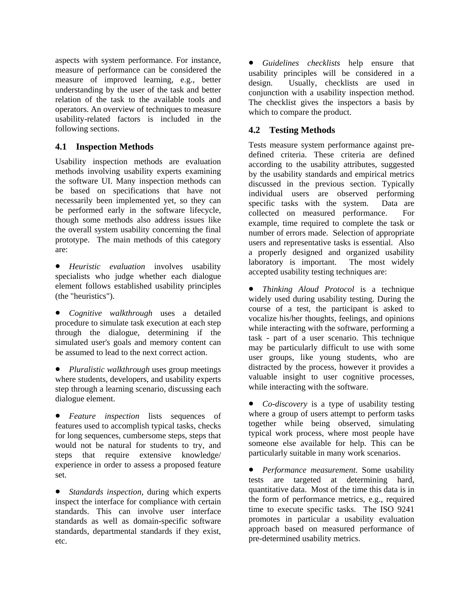aspects with system performance. For instance, measure of performance can be considered the measure of improved learning, e.g., better understanding by the user of the task and better relation of the task to the available tools and operators. An overview of techniques to measure usability-related factors is included in the following sections.

## **4.1 Inspection Methods**

Usability inspection methods are evaluation methods involving usability experts examining the software UI. Many inspection methods can be based on specifications that have not necessarily been implemented yet, so they can be performed early in the software lifecycle, though some methods also address issues like the overall system usability concerning the final prototype. The main methods of this category are:

- *Heuristic evaluation* involves usability specialists who judge whether each dialogue element follows established usability principles (the "heuristics").
- *Cognitive walkthrough* uses a detailed procedure to simulate task execution at each step through the dialogue, determining if the simulated user's goals and memory content can be assumed to lead to the next correct action.
- *Pluralistic walkthrough* uses group meetings where students, developers, and usability experts step through a learning scenario, discussing each dialogue element.
- *Feature inspection* lists sequences of features used to accomplish typical tasks, checks for long sequences, cumbersome steps, steps that would not be natural for students to try, and steps that require extensive knowledge/ experience in order to assess a proposed feature set.

• *Standards inspection*, during which experts inspect the interface for compliance with certain standards. This can involve user interface standards as well as domain-specific software standards, departmental standards if they exist, etc.

• *Guidelines checklists* help ensure that usability principles will be considered in a design. Usually, checklists are used in conjunction with a usability inspection method. The checklist gives the inspectors a basis by which to compare the product.

## **4.2 Testing Methods**

Tests measure system performance against predefined criteria. These criteria are defined according to the usability attributes, suggested by the usability standards and empirical metrics discussed in the previous section. Typically individual users are observed performing<br>specific tasks with the system. Data are specific tasks with the system. collected on measured performance. For example, time required to complete the task or number of errors made. Selection of appropriate users and representative tasks is essential. Also a properly designed and organized usability laboratory is important. The most widely accepted usability testing techniques are:

• *Thinking Aloud Protocol* is a technique widely used during usability testing. During the course of a test, the participant is asked to vocalize his/her thoughts, feelings, and opinions while interacting with the software, performing a task - part of a user scenario. This technique may be particularly difficult to use with some user groups, like young students, who are distracted by the process, however it provides a valuable insight to user cognitive processes, while interacting with the software.

• *Co-discovery* is a type of usability testing where a group of users attempt to perform tasks together while being observed, simulating typical work process, where most people have someone else available for help. This can be particularly suitable in many work scenarios.

• *Performance measurement*. Some usability tests are targeted at determining hard, quantitative data. Most of the time this data is in the form of performance metrics, e.g., required time to execute specific tasks. The ISO 9241 promotes in particular a usability evaluation approach based on measured performance of pre-determined usability metrics.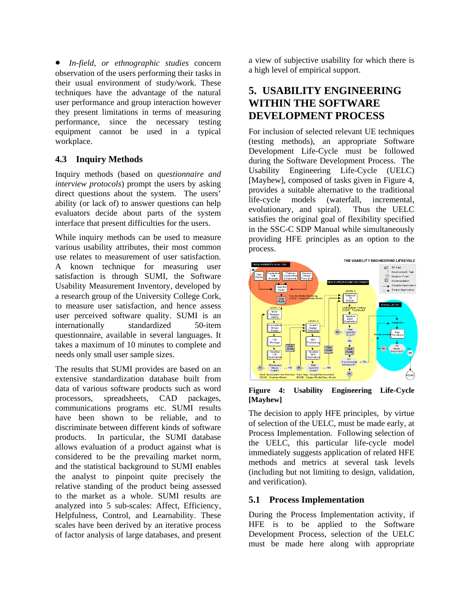• *In-field, or ethnographic studies* concern observation of the users performing their tasks in their usual environment of study/work. These techniques have the advantage of the natural user performance and group interaction however they present limitations in terms of measuring performance, since the necessary testing equipment cannot be used in a typical workplace.

# **4.3 Inquiry Methods**

Inquiry methods (based on *questionnaire and interview protocols*) prompt the users by asking direct questions about the system. The users' ability (or lack of) to answer questions can help evaluators decide about parts of the system interface that present difficulties for the users.

While inquiry methods can be used to measure various usability attributes, their most common use relates to measurement of user satisfaction. A known technique for measuring user satisfaction is through SUMI, the Software Usability Measurement Inventory, developed by a research group of the University College Cork, to measure user satisfaction, and hence assess user perceived software quality. SUMI is an internationally standardized 50-item questionnaire, available in several languages. It takes a maximum of 10 minutes to complete and needs only small user sample sizes.

The results that SUMI provides are based on an extensive standardization database built from data of various software products such as word processors, spreadsheets, CAD packages, communications programs etc. SUMI results have been shown to be reliable, and to discriminate between different kinds of software products. In particular, the SUMI database allows evaluation of a product against what is considered to be the prevailing market norm, and the statistical background to SUMI enables the analyst to pinpoint quite precisely the relative standing of the product being assessed to the market as a whole. SUMI results are analyzed into 5 sub-scales: Affect, Efficiency, Helpfulness, Control, and Learnability. These scales have been derived by an iterative process of factor analysis of large databases, and present

a view of subjective usability for which there is a high level of empirical support.

# **5. USABILITY ENGINEERING WITHIN THE SOFTWARE DEVELOPMENT PROCESS**

For inclusion of selected relevant UE techniques (testing methods), an appropriate Software Development Life-Cycle must be followed during the Software Development Process. The Usability Engineering Life-Cycle (UELC) [Mayhew], composed of tasks given in Figure 4, provides a suitable alternative to the traditional life-cycle models (waterfall, incremental, evolutionary, and spiral). Thus the UELC satisfies the original goal of flexibility specified in the SSC-C SDP Manual while simultaneously providing HFE principles as an option to the process.



#### **Figure 4: Usability Engineering Life-Cycle [Mayhew]**

The decision to apply HFE principles, by virtue of selection of the UELC, must be made early, at Process Implementation. Following selection of the UELC, this particular life-cycle model immediately suggests application of related HFE methods and metrics at several task levels (including but not limiting to design, validation, and verification).

### **5.1 Process Implementation**

During the Process Implementation activity, if HFE is to be applied to the Software Development Process, selection of the UELC must be made here along with appropriate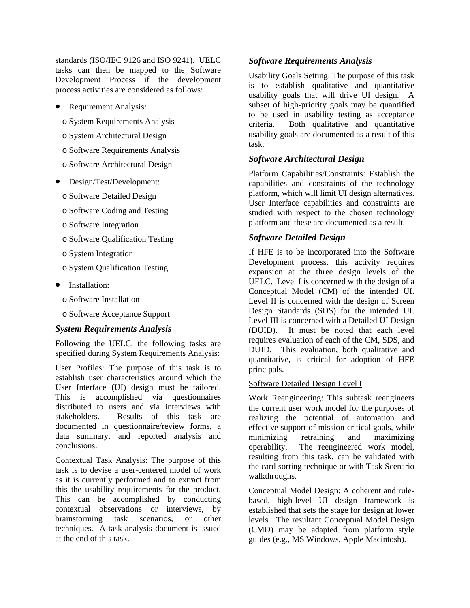standards (ISO/IEC 9126 and ISO 9241). UELC tasks can then be mapped to the Software Development Process if the development process activities are considered as follows:

- Requirement Analysis:
	- o System Requirements Analysis
	- o System Architectural Design
	- o Software Requirements Analysis
	- o Software Architectural Design
- Design/Test/Development:
	- o Software Detailed Design
	- o Software Coding and Testing
	- o Software Integration
	- o Software Qualification Testing
	- o System Integration
	- o System Qualification Testing
- Installation:
	- o Software Installation
	- o Software Acceptance Support

#### *System Requirements Analysis*

Following the UELC, the following tasks are specified during System Requirements Analysis:

User Profiles: The purpose of this task is to establish user characteristics around which the User Interface (UI) design must be tailored. This is accomplished via questionnaires distributed to users and via interviews with stakeholders. Results of this task are documented in questionnaire/review forms, a data summary, and reported analysis and conclusions.

Contextual Task Analysis: The purpose of this task is to devise a user-centered model of work as it is currently performed and to extract from this the usability requirements for the product. This can be accomplished by conducting contextual observations or interviews, by brainstorming task scenarios, or other techniques. A task analysis document is issued at the end of this task.

#### *Software Requirements Analysis*

Usability Goals Setting: The purpose of this task is to establish qualitative and quantitative usability goals that will drive UI design. A subset of high-priority goals may be quantified to be used in usability testing as acceptance criteria. Both qualitative and quantitative usability goals are documented as a result of this task.

#### *Software Architectural Design*

Platform Capabilities/Constraints: Establish the capabilities and constraints of the technology platform, which will limit UI design alternatives. User Interface capabilities and constraints are studied with respect to the chosen technology platform and these are documented as a result.

#### *Software Detailed Design*

If HFE is to be incorporated into the Software Development process, this activity requires expansion at the three design levels of the UELC. Level I is concerned with the design of a Conceptual Model (CM) of the intended UI. Level II is concerned with the design of Screen Design Standards (SDS) for the intended UI. Level III is concerned with a Detailed UI Design (DUID). It must be noted that each level requires evaluation of each of the CM, SDS, and DUID. This evaluation, both qualitative and quantitative, is critical for adoption of HFE principals.

#### Software Detailed Design Level I

Work Reengineering: This subtask reengineers the current user work model for the purposes of realizing the potential of automation and effective support of mission-critical goals, while minimizing retraining and maximizing operability. The reengineered work model, resulting from this task, can be validated with the card sorting technique or with Task Scenario walkthroughs.

Conceptual Model Design: A coherent and rulebased, high-level UI design framework is established that sets the stage for design at lower levels. The resultant Conceptual Model Design (CMD) may be adapted from platform style guides (e.g., MS Windows, Apple Macintosh).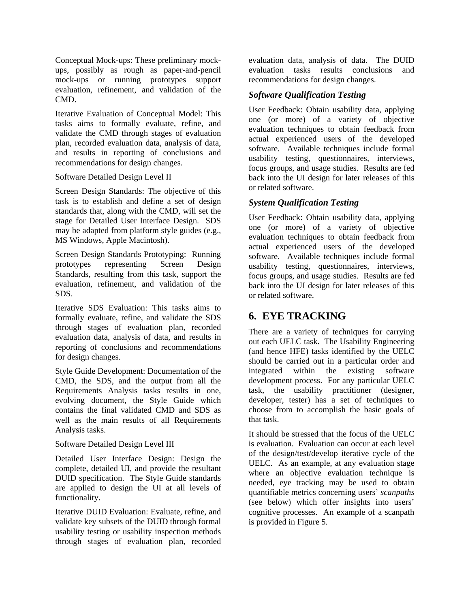Conceptual Mock-ups: These preliminary mockups, possibly as rough as paper-and-pencil mock-ups or running prototypes support evaluation, refinement, and validation of the CMD.

Iterative Evaluation of Conceptual Model: This tasks aims to formally evaluate, refine, and validate the CMD through stages of evaluation plan, recorded evaluation data, analysis of data, and results in reporting of conclusions and recommendations for design changes.

#### Software Detailed Design Level II

Screen Design Standards: The objective of this task is to establish and define a set of design standards that, along with the CMD, will set the stage for Detailed User Interface Design. SDS may be adapted from platform style guides (e.g., MS Windows, Apple Macintosh).

Screen Design Standards Prototyping: Running prototypes representing Screen Design Standards, resulting from this task, support the evaluation, refinement, and validation of the SDS.

Iterative SDS Evaluation: This tasks aims to formally evaluate, refine, and validate the SDS through stages of evaluation plan, recorded evaluation data, analysis of data, and results in reporting of conclusions and recommendations for design changes.

Style Guide Development: Documentation of the CMD, the SDS, and the output from all the Requirements Analysis tasks results in one, evolving document, the Style Guide which contains the final validated CMD and SDS as well as the main results of all Requirements Analysis tasks.

#### Software Detailed Design Level III

Detailed User Interface Design: Design the complete, detailed UI, and provide the resultant DUID specification. The Style Guide standards are applied to design the UI at all levels of functionality.

Iterative DUID Evaluation: Evaluate, refine, and validate key subsets of the DUID through formal usability testing or usability inspection methods through stages of evaluation plan, recorded

evaluation data, analysis of data. The DUID evaluation tasks results conclusions and recommendations for design changes.

### *Software Qualification Testing*

User Feedback: Obtain usability data, applying one (or more) of a variety of objective evaluation techniques to obtain feedback from actual experienced users of the developed software. Available techniques include formal usability testing, questionnaires, interviews, focus groups, and usage studies. Results are fed back into the UI design for later releases of this or related software.

### *System Qualification Testing*

User Feedback: Obtain usability data, applying one (or more) of a variety of objective evaluation techniques to obtain feedback from actual experienced users of the developed software. Available techniques include formal usability testing, questionnaires, interviews, focus groups, and usage studies. Results are fed back into the UI design for later releases of this or related software.

# **6. EYE TRACKING**

There are a variety of techniques for carrying out each UELC task. The Usability Engineering (and hence HFE) tasks identified by the UELC should be carried out in a particular order and integrated within the existing software development process. For any particular UELC task, the usability practitioner (designer, developer, tester) has a set of techniques to choose from to accomplish the basic goals of that task.

It should be stressed that the focus of the UELC is evaluation. Evaluation can occur at each level of the design/test/develop iterative cycle of the UELC. As an example, at any evaluation stage where an objective evaluation technique is needed, eye tracking may be used to obtain quantifiable metrics concerning users' *scanpaths* (see below) which offer insights into users' cognitive processes. An example of a scanpath is provided in Figure 5.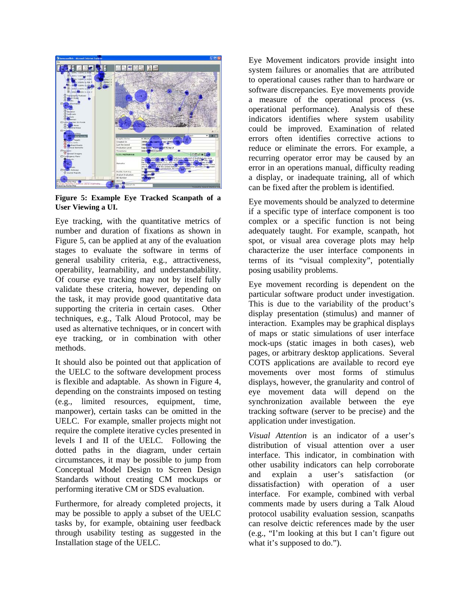

**Figure 5: Example Eye Tracked Scanpath of a User Viewing a UI.** 

Eye tracking, with the quantitative metrics of number and duration of fixations as shown in Figure 5, can be applied at any of the evaluation stages to evaluate the software in terms of general usability criteria, e.g., attractiveness, operability, learnability, and understandability. Of course eye tracking may not by itself fully validate these criteria, however, depending on the task, it may provide good quantitative data supporting the criteria in certain cases. Other techniques, e.g., Talk Aloud Protocol, may be used as alternative techniques, or in concert with eye tracking, or in combination with other methods.

It should also be pointed out that application of the UELC to the software development process is flexible and adaptable. As shown in Figure 4, depending on the constraints imposed on testing (e.g., limited resources, equipment, time, manpower), certain tasks can be omitted in the UELC. For example, smaller projects might not require the complete iterative cycles presented in levels I and II of the UELC. Following the dotted paths in the diagram, under certain circumstances, it may be possible to jump from Conceptual Model Design to Screen Design Standards without creating CM mockups or performing iterative CM or SDS evaluation.

Furthermore, for already completed projects, it may be possible to apply a subset of the UELC tasks by, for example, obtaining user feedback through usability testing as suggested in the Installation stage of the UELC.

Eye Movement indicators provide insight into system failures or anomalies that are attributed to operational causes rather than to hardware or software discrepancies. Eye movements provide a measure of the operational process (vs. operational performance). Analysis of these indicators identifies where system usability could be improved. Examination of related errors often identifies corrective actions to reduce or eliminate the errors. For example, a recurring operator error may be caused by an error in an operations manual, difficulty reading a display, or inadequate training, all of which can be fixed after the problem is identified.

Eye movements should be analyzed to determine if a specific type of interface component is too complex or a specific function is not being adequately taught. For example, scanpath, hot spot, or visual area coverage plots may help characterize the user interface components in terms of its "visual complexity", potentially posing usability problems.

Eye movement recording is dependent on the particular software product under investigation. This is due to the variability of the product's display presentation (stimulus) and manner of interaction. Examples may be graphical displays of maps or static simulations of user interface mock-ups (static images in both cases), web pages, or arbitrary desktop applications. Several COTS applications are available to record eye movements over most forms of stimulus displays, however, the granularity and control of eye movement data will depend on the synchronization available between the eye tracking software (server to be precise) and the application under investigation.

*Visual Attention* is an indicator of a user's distribution of visual attention over a user interface. This indicator, in combination with other usability indicators can help corroborate and explain a user's satisfaction (or dissatisfaction) with operation of a user interface. For example, combined with verbal comments made by users during a Talk Aloud protocol usability evaluation session, scanpaths can resolve deictic references made by the user (e.g., "I'm looking at this but I can't figure out what it's supposed to do.").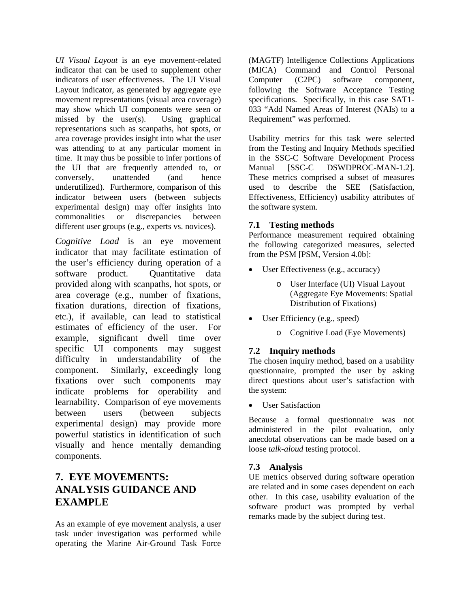*UI Visual Layout* is an eye movement-related indicator that can be used to supplement other indicators of user effectiveness. The UI Visual Layout indicator, as generated by aggregate eye movement representations (visual area coverage) may show which UI components were seen or missed by the user(s). Using graphical representations such as scanpaths, hot spots, or area coverage provides insight into what the user was attending to at any particular moment in time. It may thus be possible to infer portions of the UI that are frequently attended to, or conversely, unattended (and hence underutilized). Furthermore, comparison of this indicator between users (between subjects experimental design) may offer insights into commonalities or discrepancies between different user groups (e.g., experts vs. novices).

*Cognitive Load* is an eye movement indicator that may facilitate estimation of the user's efficiency during operation of a software product. Quantitative data provided along with scanpaths, hot spots, or area coverage (e.g., number of fixations, fixation durations, direction of fixations, etc.), if available, can lead to statistical estimates of efficiency of the user. For example, significant dwell time over specific UI components may suggest difficulty in understandability of the component. Similarly, exceedingly long fixations over such components may indicate problems for operability and learnability. Comparison of eye movements between users (between subjects experimental design) may provide more powerful statistics in identification of such visually and hence mentally demanding components.

# **7. EYE MOVEMENTS: ANALYSIS GUIDANCE AND EXAMPLE**

As an example of eye movement analysis, a user task under investigation was performed while operating the Marine Air-Ground Task Force

(MAGTF) Intelligence Collections Applications (MICA) Command and Control Personal Computer (C2PC) software component, following the Software Acceptance Testing specifications. Specifically, in this case SAT1- 033 "Add Named Areas of Interest (NAIs) to a Requirement" was performed.

Usability metrics for this task were selected from the Testing and Inquiry Methods specified in the SSC-C Software Development Process Manual [SSC-C DSWDPROC-MAN-1.2]. These metrics comprised a subset of measures used to describe the SEE (Satisfaction, Effectiveness, Efficiency) usability attributes of the software system.

### **7.1 Testing methods**

Performance measurement required obtaining the following categorized measures, selected from the PSM [PSM, Version 4.0b]:

- User Effectiveness (e.g., accuracy)
	- o User Interface (UI) Visual Layout (Aggregate Eye Movements: Spatial Distribution of Fixations)
- User Efficiency (e.g., speed)
	- o Cognitive Load (Eye Movements)

### **7.2 Inquiry methods**

The chosen inquiry method, based on a usability questionnaire, prompted the user by asking direct questions about user's satisfaction with the system:

• User Satisfaction

Because a formal questionnaire was not administered in the pilot evaluation, only anecdotal observations can be made based on a loose *talk-aloud* testing protocol.

### **7.3 Analysis**

UE metrics observed during software operation are related and in some cases dependent on each other. In this case, usability evaluation of the software product was prompted by verbal remarks made by the subject during test.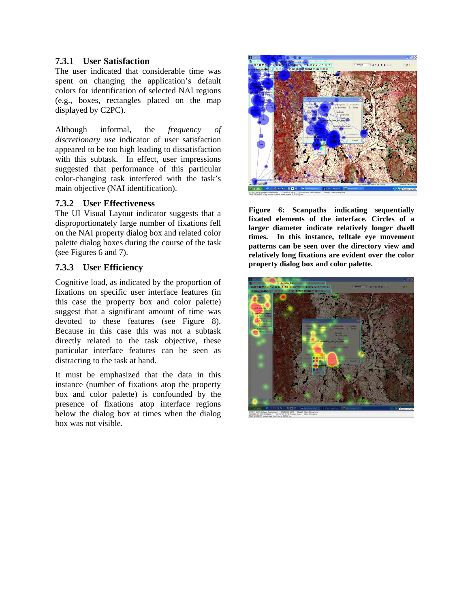#### **7.3.1 User Satisfaction**

The user indicated that considerable time was spent on changing the application's default colors for identification of selected NAI regions (e.g., boxes, rectangles placed on the map displayed by C2PC).

Although informal, the *frequency of discretionary use* indicator of user satisfaction appeared to be too high leading to dissatisfaction with this subtask. In effect, user impressions suggested that performance of this particular color-changing task interfered with the task's main objective (NAI identification).

### **7.3.2 User Effectiveness**

The UI Visual Layout indicator suggests that a disproportionately large number of fixations fell on the NAI property dialog box and related color palette dialog boxes during the course of the task (see Figures 6 and 7).

### **7.3.3 User Efficiency**

Cognitive load, as indicated by the proportion of fixations on specific user interface features (in this case the property box and color palette) suggest that a significant amount of time was devoted to these features (see Figure 8). Because in this case this was not a subtask directly related to the task objective, these particular interface features can be seen as distracting to the task at hand.

It must be emphasized that the data in this instance (number of fixations atop the property box and color palette) is confounded by the presence of fixations atop interface regions below the dialog box at times when the dialog box was not visible.



**Figure 6: Scanpaths indicating sequentially fixated elements of the interface. Circles of a larger diameter indicate relatively longer dwell times. In this instance, telltale eye movement patterns can be seen over the directory view and relatively long fixations are evident over the color property dialog box and color palette.** 

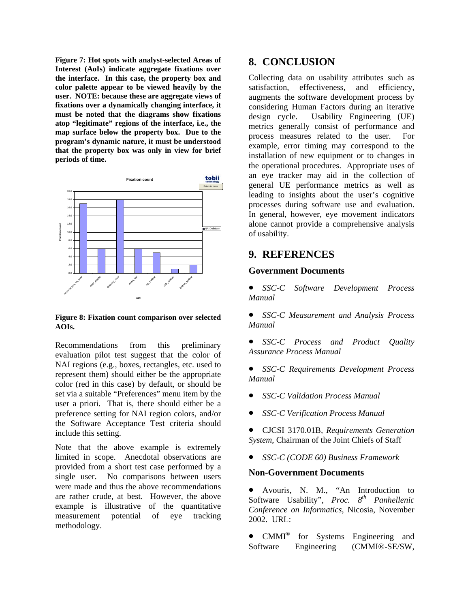**Figure 7: Hot spots with analyst-selected Areas of Interest (AoIs) indicate aggregate fixations over the interface. In this case, the property box and color palette appear to be viewed heavily by the user. NOTE: because these are aggregate views of fixations over a dynamically changing interface, it must be noted that the diagrams show fixations atop "legitimate" regions of the interface, i.e., the map surface below the property box. Due to the program's dynamic nature, it must be understood that the property box was only in view for brief periods of time.** 



#### **Figure 8: Fixation count comparison over selected AOIs.**

Recommendations from this preliminary evaluation pilot test suggest that the color of NAI regions (e.g., boxes, rectangles, etc. used to represent them) should either be the appropriate color (red in this case) by default, or should be set via a suitable "Preferences" menu item by the user a priori. That is, there should either be a preference setting for NAI region colors, and/or the Software Acceptance Test criteria should include this setting.

Note that the above example is extremely limited in scope. Anecdotal observations are provided from a short test case performed by a single user. No comparisons between users were made and thus the above recommendations are rather crude, at best. However, the above example is illustrative of the quantitative measurement potential of eye tracking methodology.

# **8. CONCLUSION**

Collecting data on usability attributes such as satisfaction, effectiveness, and efficiency, augments the software development process by considering Human Factors during an iterative design cycle. Usability Engineering (UE) metrics generally consist of performance and process measures related to the user. For example, error timing may correspond to the installation of new equipment or to changes in the operational procedures. Appropriate uses of an eye tracker may aid in the collection of general UE performance metrics as well as leading to insights about the user's cognitive processes during software use and evaluation. In general, however, eye movement indicators alone cannot provide a comprehensive analysis of usability.

### **9. REFERENCES**

#### **Government Documents**

• *SSC-C Software Development Process Manual* 

• *SSC-C Measurement and Analysis Process Manual* 

• *SSC-C Process and Product Quality Assurance Process Manual* 

• *SSC-C Requirements Development Process Manual* 

- *SSC-C Validation Process Manual*
- *SSC-C Verification Process Manual*

• CJCSI 3170.01B*, Requirements Generation System*, Chairman of the Joint Chiefs of Staff

• *SSC-C (CODE 60) Business Framework* 

#### **Non-Government Documents**

• Avouris, N. M., "An Introduction to Software Usability", *Proc. 8th Panhellenic Conference on Informatics*, Nicosia, November 2002. URL:

• CMMI<sup>®</sup> for Systems Engineering and Software Engineering (CMMI®-SE/SW,